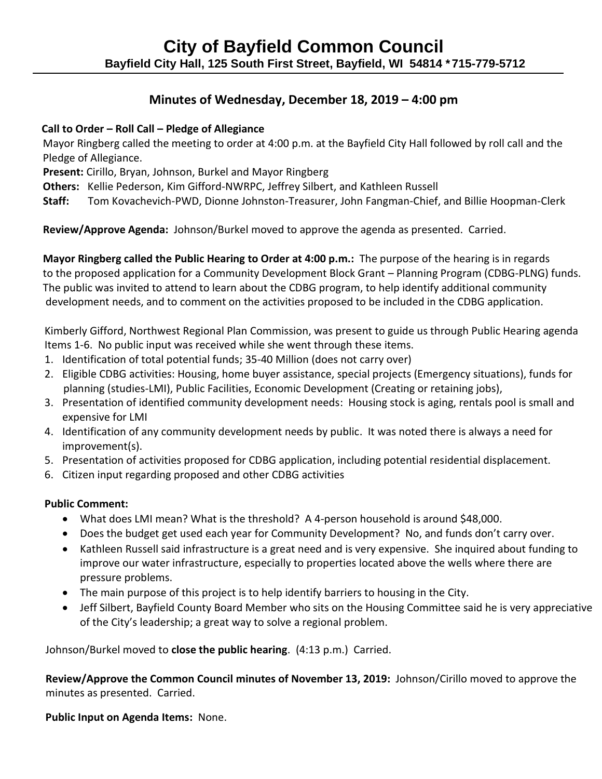# **Minutes of Wednesday, December 18, 2019 – 4:00 pm**

## **Call to Order – Roll Call – Pledge of Allegiance**

Mayor Ringberg called the meeting to order at 4:00 p.m. at the Bayfield City Hall followed by roll call and the Pledge of Allegiance.

 **Present:** Cirillo, Bryan, Johnson, Burkel and Mayor Ringberg

 **Others:** Kellie Pederson, Kim Gifford-NWRPC, Jeffrey Silbert, and Kathleen Russell

**Staff:** Tom Kovachevich-PWD, Dionne Johnston-Treasurer, John Fangman-Chief, and Billie Hoopman-Clerk

 **Review/Approve Agenda:** Johnson/Burkel moved to approve the agenda as presented. Carried.

 **Mayor Ringberg called the Public Hearing to Order at 4:00 p.m.:** The purpose of the hearing is in regards to the proposed application for a Community Development Block Grant – Planning Program (CDBG-PLNG) funds. The public was invited to attend to learn about the CDBG program, to help identify additional community development needs, and to comment on the activities proposed to be included in the CDBG application.

Kimberly Gifford, Northwest Regional Plan Commission, was present to guide us through Public Hearing agenda Items 1-6. No public input was received while she went through these items.

- 1. Identification of total potential funds; 35-40 Million (does not carry over)
- 2. Eligible CDBG activities: Housing, home buyer assistance, special projects (Emergency situations), funds for planning (studies-LMI), Public Facilities, Economic Development (Creating or retaining jobs),
- 3. Presentation of identified community development needs: Housing stock is aging, rentals pool is small and expensive for LMI
- 4. Identification of any community development needs by public. It was noted there is always a need for improvement(s).
- 5. Presentation of activities proposed for CDBG application, including potential residential displacement.
- 6. Citizen input regarding proposed and other CDBG activities

## **Public Comment:**

- What does LMI mean? What is the threshold? A 4-person household is around \$48,000.
- Does the budget get used each year for Community Development? No, and funds don't carry over.
- Kathleen Russell said infrastructure is a great need and is very expensive. She inquired about funding to improve our water infrastructure, especially to properties located above the wells where there are pressure problems.
- The main purpose of this project is to help identify barriers to housing in the City.
- Jeff Silbert, Bayfield County Board Member who sits on the Housing Committee said he is very appreciative of the City's leadership; a great way to solve a regional problem.

Johnson/Burkel moved to **close the public hearing**. (4:13 p.m.) Carried.

 **Review/Approve the Common Council minutes of November 13, 2019:** Johnson/Cirillo moved to approve the minutes as presented. Carried.

 **Public Input on Agenda Items:** None.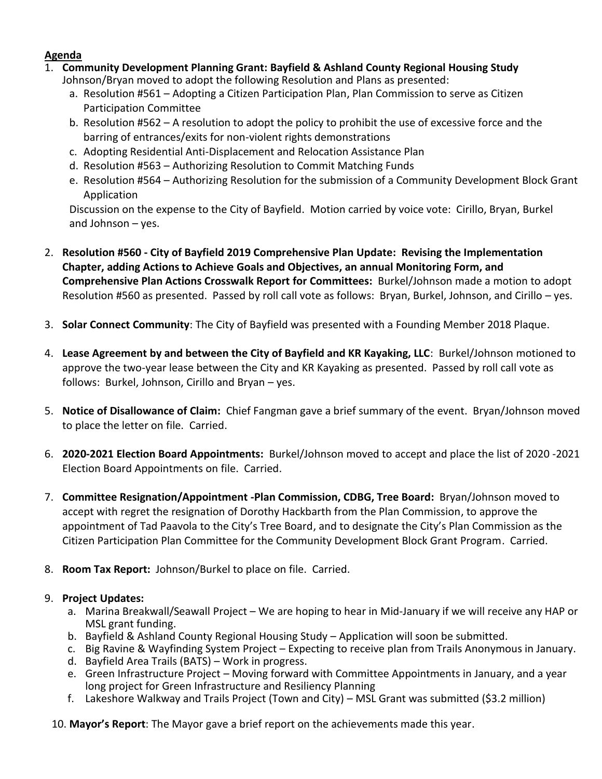#### **Agenda**

1. **Community Development Planning Grant: Bayfield & Ashland County Regional Housing Study** 

Johnson/Bryan moved to adopt the following Resolution and Plans as presented:

- a. Resolution #561 Adopting a Citizen Participation Plan, Plan Commission to serve as Citizen Participation Committee
- b. Resolution #562 A resolution to adopt the policy to prohibit the use of excessive force and the barring of entrances/exits for non-violent rights demonstrations
- c. Adopting Residential Anti-Displacement and Relocation Assistance Plan
- d. Resolution #563 Authorizing Resolution to Commit Matching Funds
- e. Resolution #564 Authorizing Resolution for the submission of a Community Development Block Grant Application

Discussion on the expense to the City of Bayfield. Motion carried by voice vote: Cirillo, Bryan, Burkel and Johnson – yes.

- 2. **Resolution #560 - City of Bayfield 2019 Comprehensive Plan Update: Revising the Implementation Chapter, adding Actions to Achieve Goals and Objectives, an annual Monitoring Form, and Comprehensive Plan Actions Crosswalk Report for Committees:** Burkel/Johnson made a motion to adopt Resolution #560 as presented. Passed by roll call vote as follows: Bryan, Burkel, Johnson, and Cirillo – yes.
- 3. **Solar Connect Community**: The City of Bayfield was presented with a Founding Member 2018 Plaque.
- 4. **Lease Agreement by and between the City of Bayfield and KR Kayaking, LLC**: Burkel/Johnson motioned to approve the two-year lease between the City and KR Kayaking as presented. Passed by roll call vote as follows: Burkel, Johnson, Cirillo and Bryan – yes.
- 5. **Notice of Disallowance of Claim:** Chief Fangman gave a brief summary of the event. Bryan/Johnson moved to place the letter on file. Carried.
- 6. **2020-2021 Election Board Appointments:** Burkel/Johnson moved to accept and place the list of 2020 -2021 Election Board Appointments on file. Carried.
- 7. **Committee Resignation/Appointment -Plan Commission, CDBG, Tree Board:** Bryan/Johnson moved to accept with regret the resignation of Dorothy Hackbarth from the Plan Commission, to approve the appointment of Tad Paavola to the City's Tree Board, and to designate the City's Plan Commission as the Citizen Participation Plan Committee for the Community Development Block Grant Program. Carried.
- 8. **Room Tax Report:** Johnson/Burkel to place on file. Carried.

## 9. **Project Updates:**

- a. Marina Breakwall/Seawall Project We are hoping to hear in Mid-January if we will receive any HAP or MSL grant funding.
- b. Bayfield & Ashland County Regional Housing Study Application will soon be submitted.
- c. Big Ravine & Wayfinding System Project Expecting to receive plan from Trails Anonymous in January.
- d. Bayfield Area Trails (BATS) Work in progress.
- e. Green Infrastructure Project Moving forward with Committee Appointments in January, and a year long project for Green Infrastructure and Resiliency Planning
- f. Lakeshore Walkway and Trails Project (Town and City) MSL Grant was submitted (\$3.2 million)
- 10. **Mayor's Report**: The Mayor gave a brief report on the achievements made this year.